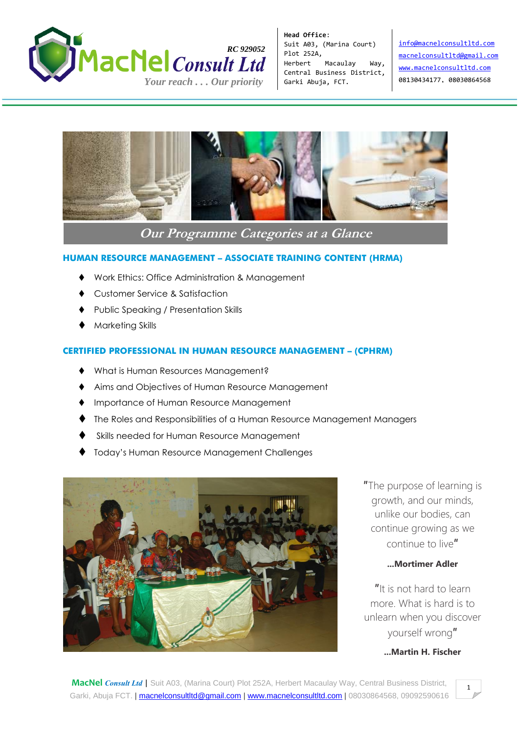

**Head Office**: Suit A03, (Marina Court) Plot 252A, Herbert Macaulay Way, Central Business District, Garki Abuja, FCT.

[info@macnelconsultltd.com](mailto:info@macnelconsultltd.com) [macnelconsultltd@gmail.com](mailto:macnelconsultltd@gmail.com) [www.macnelconsultltd.com](http://www.macnelconsultltd.com/) 08130434177, 08030864568

 $\mathbf{I}$ 



**Our Programme Categories at a Glance**

# **HUMAN RESOURCE MANAGEMENT – ASSOCIATE TRAINING CONTENT (HRMA)**

- Work Ethics: Office Administration & Management
- Customer Service & Satisfaction
- Public Speaking / Presentation Skills
- Marketing Skills

# **CERTIFIED PROFESSIONAL IN HUMAN RESOURCE MANAGEMENT – (CPHRM)**

- What is Human Resources Management?
- Aims and Objectives of Human Resource Management
- **Importance of Human Resource Management**
- The Roles and Responsibilities of a Human Resource Management Managers
- Skills needed for Human Resource Management
- Today's Human Resource Management Challenges



″The purpose of learning is growth, and our minds, unlike our bodies, can continue growing as we continue to live″

# **...Mortimer Adler**

″It is not hard to learn more. What is hard is to unlearn when you discover yourself wrong″

# **...Martin H. Fischer**

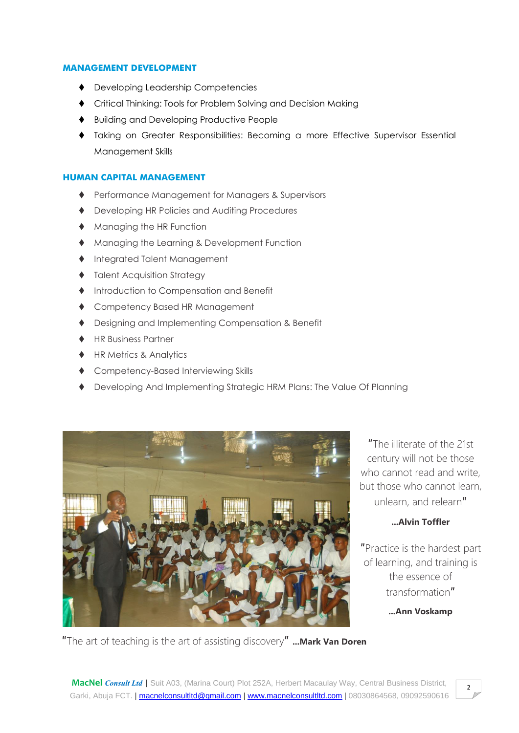#### **MANAGEMENT DEVELOPMENT**

- ◆ Developing Leadership Competencies
- Critical Thinking: Tools for Problem Solving and Decision Making
- Building and Developing Productive People
- Taking on Greater Responsibilities: Becoming a more Effective Supervisor Essential Management Skills

## **HUMAN CAPITAL MANAGEMENT**

- Performance Management for Managers & Supervisors
- ◆ Developing HR Policies and Auditing Procedures
- **Managing the HR Function**
- ◆ Managing the Learning & Development Function
- ◆ Integrated Talent Management
- $\blacklozenge$  Talent Acquisition Strategy
- $\blacklozenge$  Introduction to Compensation and Benefit
- ◆ Competency Based HR Management
- Designing and Implementing Compensation & Benefit
- ♦ HR Business Partner
- ◆ HR Metrics & Analytics
- Competency-Based Interviewing Skills
- Developing And Implementing Strategic HRM Plans: The Value Of Planning



″The illiterate of the 21st century will not be those who cannot read and write. but those who cannot learn, unlearn, and relearn″

# **...Alvin Toffler**

″Practice is the hardest part of learning, and training is the essence of transformation″

**...Ann Voskamp**

″The art of teaching is the art of assisting discovery″ **...Mark Van Doren**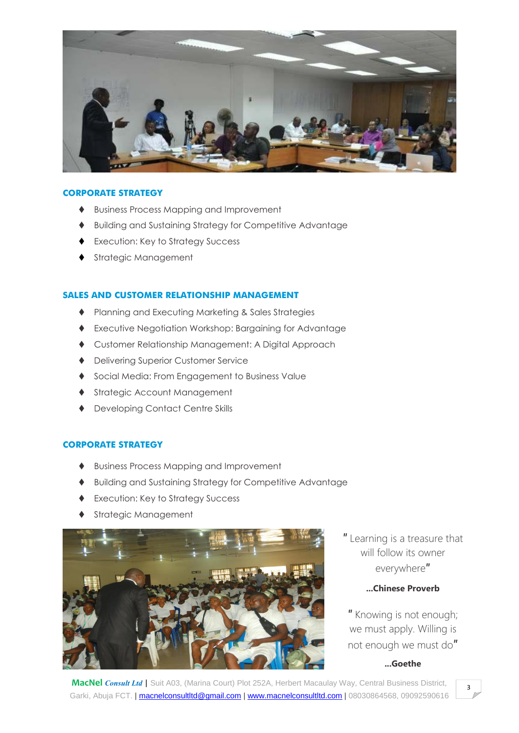

## **CORPORATE STRATEGY**

- Business Process Mapping and Improvement
- Building and Sustaining Strategy for Competitive Advantage
- ◆ Execution: Key to Strategy Success
- ◆ Strategic Management

## **SALES AND CUSTOMER RELATIONSHIP MANAGEMENT**

- ♦ Planning and Executing Marketing & Sales Strategies
- Executive Negotiation Workshop: Bargaining for Advantage
- Customer Relationship Management: A Digital Approach
- ◆ Delivering Superior Customer Service
- ◆ Social Media: From Engagement to Business Value
- ◆ Strategic Account Management
- Developing Contact Centre Skills

## **CORPORATE STRATEGY**

- Business Process Mapping and Improvement
- Building and Sustaining Strategy for Competitive Advantage
- ◆ Execution: Key to Strategy Success
- Strategic Management



″ Learning is a treasure that will follow its owner everywhere″

# **...Chinese Proverb**

″ Knowing is not enough; we must apply. Willing is not enough we must do″

# **...Goethe**

**MacNel** *Consult Ltd* | Suit A03, (Marina Court) Plot 252A, Herbert Macaulay Way, Central Business District, Garki, Abuja FCT. [| macnelconsultltd@gmail.com](mailto:macnelconsultltd@gmail.com) | [www.macnelconsultltd.com](http://www.macnelconsultltd.com/) | 08030864568, 09092590616